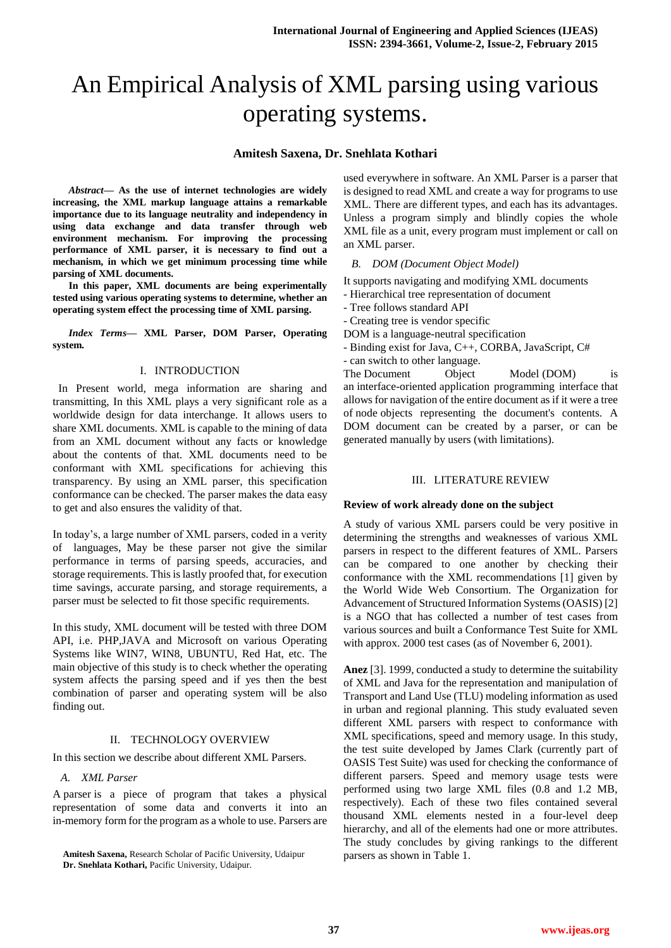# An Empirical Analysis of XML parsing using various operating systems.

# **Amitesh Saxena, Dr. Snehlata Kothari**

*Abstract***— As the use of internet technologies are widely increasing, the XML markup language attains a remarkable importance due to its language neutrality and independency in using data exchange and data transfer through web environment mechanism. For improving the processing performance of XML parser, it is necessary to find out a mechanism, in which we get minimum processing time while parsing of XML documents.** 

**In this paper, XML documents are being experimentally tested using various operating systems to determine, whether an operating system effect the processing time of XML parsing.**

*Index Terms***— XML Parser, DOM Parser, Operating system.**

# I. INTRODUCTION

 In Present world, mega information are sharing and transmitting, In this XML plays a very significant role as a worldwide design for data interchange. It allows users to share XML documents. XML is capable to the mining of data from an XML document without any facts or knowledge about the contents of that. XML documents need to be conformant with XML specifications for achieving this transparency. By using an XML parser, this specification conformance can be checked. The parser makes the data easy to get and also ensures the validity of that.

In today's, a large number of XML parsers, coded in a verity of languages, May be these parser not give the similar performance in terms of parsing speeds, accuracies, and storage requirements. This is lastly proofed that, for execution time savings, accurate parsing, and storage requirements, a parser must be selected to fit those specific requirements.

In this study, XML document will be tested with three DOM API, i.e. PHP,JAVA and Microsoft on various Operating Systems like WIN7, WIN8, UBUNTU, Red Hat, etc. The main objective of this study is to check whether the operating system affects the parsing speed and if yes then the best combination of parser and operating system will be also finding out.

## II. TECHNOLOGY OVERVIEW

In this section we describe about different XML Parsers.

#### *A. XML Parser*

A parser is a piece of program that takes a physical representation of some data and converts it into an in-memory form for the program as a whole to use. Parsers are used everywhere in software. An XML Parser is a parser that is designed to read XML and create a way for programs to use XML. There are different types, and each has its advantages. Unless a program simply and blindly copies the whole XML file as a unit, every program must implement or call on an XML parser.

## *B. DOM (Document Object Model)*

It supports navigating and modifying XML documents

- Hierarchical tree representation of document
- Tree follows standard API
- Creating tree is vendor specific
- DOM is a language-neutral specification
- Binding exist for Java, C++, CORBA, JavaScript, C#
- can switch to other language.

The [Document Object Model](http://en.wikipedia.org/wiki/Document_Object_Model) (DOM) is an [interface-](http://en.wikipedia.org/wiki/User_interface)oriented [application programming interface](http://en.wikipedia.org/wiki/Application_programming_interface) that allows for navigation of the entire document as if it were a tree of [node](http://en.wikipedia.org/wiki/Node_(computer_science)) [objects](http://en.wikipedia.org/wiki/Object_(computer_science)) representing the document's contents. A DOM document can be created by a parser, or can be generated manually by users (with limitations).

## III. LITERATURE REVIEW

#### **Review of work already done on the subject**

A study of various XML parsers could be very positive in determining the strengths and weaknesses of various XML parsers in respect to the different features of XML. Parsers can be compared to one another by checking their conformance with the XML recommendations [1] given by the World Wide Web Consortium. The Organization for Advancement of Structured Information Systems (OASIS) [2] is a NGO that has collected a number of test cases from various sources and built a Conformance Test Suite for XML with approx. 2000 test cases (as of November 6, 2001).

**Anez** [3]. 1999, conducted a study to determine the suitability of XML and Java for the representation and manipulation of Transport and Land Use (TLU) modeling information as used in urban and regional planning. This study evaluated seven different XML parsers with respect to conformance with XML specifications, speed and memory usage. In this study, the test suite developed by James Clark (currently part of OASIS Test Suite) was used for checking the conformance of different parsers. Speed and memory usage tests were performed using two large XML files (0.8 and 1.2 MB, respectively). Each of these two files contained several thousand XML elements nested in a four-level deep hierarchy, and all of the elements had one or more attributes. The study concludes by giving rankings to the different parsers as shown in Table 1.

**Amitesh Saxena,** Research Scholar of Pacific University, Udaipur **Dr. Snehlata Kothari,** Pacific University, Udaipur.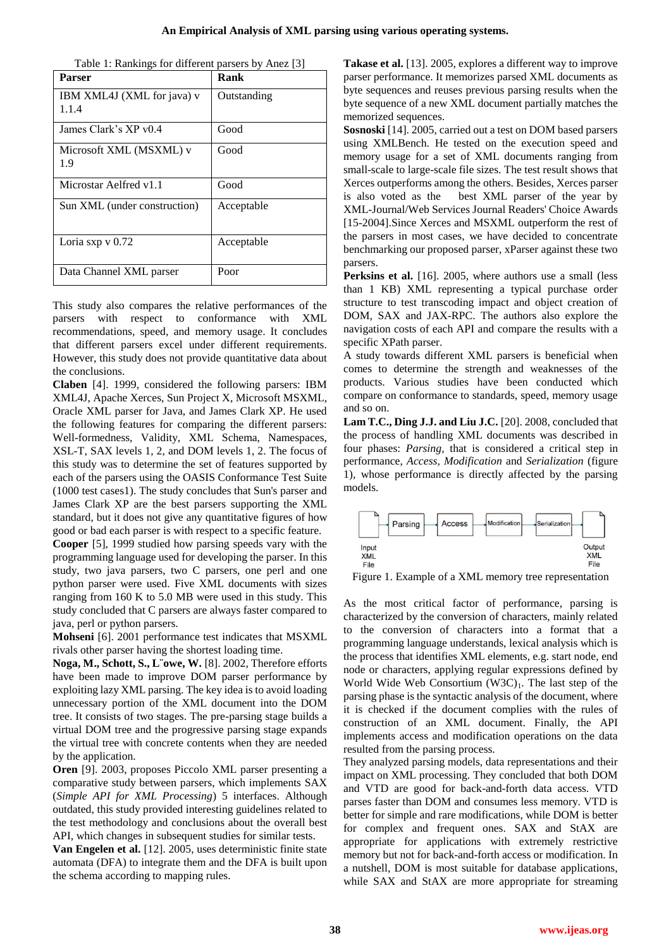| Table 1: Rankings for different parsers by Anez [3] |  |
|-----------------------------------------------------|--|
|-----------------------------------------------------|--|

| <b>Parser</b>                       | Rank        |
|-------------------------------------|-------------|
| IBM XML4J (XML for java) v<br>1.1.4 | Outstanding |
|                                     |             |
| James Clark's XP v0.4               | Good        |
| Microsoft XML (MSXML) v             | Good        |
| 1.9                                 |             |
| Microstar Aelfred v1.1              | Good        |
| Sun XML (under construction)        | Acceptable  |
|                                     |             |
| Loria sxp $v$ 0.72                  | Acceptable  |
|                                     |             |
| Data Channel XML parser             | Poor        |

This study also compares the relative performances of the parsers with respect to conformance with XML recommendations, speed, and memory usage. It concludes that different parsers excel under different requirements. However, this study does not provide quantitative data about the conclusions.

**Claben** [4]. 1999, considered the following parsers: IBM XML4J, Apache Xerces, Sun Project X, Microsoft MSXML, Oracle XML parser for Java, and James Clark XP. He used the following features for comparing the different parsers: Well-formedness, Validity, XML Schema, Namespaces, XSL-T, SAX levels 1, 2, and DOM levels 1, 2. The focus of this study was to determine the set of features supported by each of the parsers using the OASIS Conformance Test Suite (1000 test cases1). The study concludes that Sun's parser and James Clark XP are the best parsers supporting the XML standard, but it does not give any quantitative figures of how good or bad each parser is with respect to a specific feature.

**Cooper** [5], 1999 studied how parsing speeds vary with the programming language used for developing the parser. In this study, two java parsers, two C parsers, one perl and one python parser were used. Five XML documents with sizes ranging from 160 K to 5.0 MB were used in this study. This study concluded that C parsers are always faster compared to java, perl or python parsers.

**Mohseni** [6]. 2001 performance test indicates that MSXML rivals other parser having the shortest loading time.

**Noga, M., Schott, S., L¨owe, W.** [8]. 2002, Therefore efforts have been made to improve DOM parser performance by exploiting lazy XML parsing. The key idea is to avoid loading unnecessary portion of the XML document into the DOM tree. It consists of two stages. The pre-parsing stage builds a virtual DOM tree and the progressive parsing stage expands the virtual tree with concrete contents when they are needed by the application.

**Oren** [9]. 2003, proposes Piccolo XML parser presenting a comparative study between parsers, which implements SAX (*Simple API for XML Processing*) 5 interfaces. Although outdated, this study provided interesting guidelines related to the test methodology and conclusions about the overall best API, which changes in subsequent studies for similar tests.

**Van Engelen et al.** [12]. 2005, uses deterministic finite state automata (DFA) to integrate them and the DFA is built upon the schema according to mapping rules.

**Takase et al.** [13]. 2005, explores a different way to improve parser performance. It memorizes parsed XML documents as byte sequences and reuses previous parsing results when the byte sequence of a new XML document partially matches the memorized sequences.

**Sosnoski** [14]. 2005, carried out a test on DOM based parsers using XMLBench. He tested on the execution speed and memory usage for a set of XML documents ranging from small-scale to large-scale file sizes. The test result shows that Xerces outperforms among the others. Besides, Xerces parser is also voted as the best XML parser of the year by XML-Journal/Web Services Journal Readers' Choice Awards [15-2004].Since Xerces and MSXML outperform the rest of the parsers in most cases, we have decided to concentrate benchmarking our proposed parser, xParser against these two parsers.

Perksins et al. [16]. 2005, where authors use a small (less than 1 KB) XML representing a typical purchase order structure to test transcoding impact and object creation of DOM, SAX and JAX-RPC. The authors also explore the navigation costs of each API and compare the results with a specific XPath parser.

A study towards different XML parsers is beneficial when comes to determine the strength and weaknesses of the products. Various studies have been conducted which compare on conformance to standards, speed, memory usage and so on.

**Lam T.C., Ding J.J. and Liu J.C.** [20]. 2008, concluded that the process of handling XML documents was described in four phases: *Parsing,* that is considered a critical step in performance, *Access*, *Modification* and *Serialization* (figure 1), whose performance is directly affected by the parsing models.



Figure 1. Example of a XML memory tree representation

As the most critical factor of performance, parsing is characterized by the conversion of characters, mainly related to the conversion of characters into a format that a programming language understands, lexical analysis which is the process that identifies XML elements, e.g. start node, end node or characters, applying regular expressions defined by World Wide Web Consortium  $(W3C)_1$ . The last step of the parsing phase is the syntactic analysis of the document, where it is checked if the document complies with the rules of construction of an XML document. Finally, the API implements access and modification operations on the data resulted from the parsing process.

They analyzed parsing models, data representations and their impact on XML processing. They concluded that both DOM and VTD are good for back-and-forth data access. VTD parses faster than DOM and consumes less memory. VTD is better for simple and rare modifications, while DOM is better for complex and frequent ones. SAX and StAX are appropriate for applications with extremely restrictive memory but not for back-and-forth access or modification. In a nutshell, DOM is most suitable for database applications, while SAX and StAX are more appropriate for streaming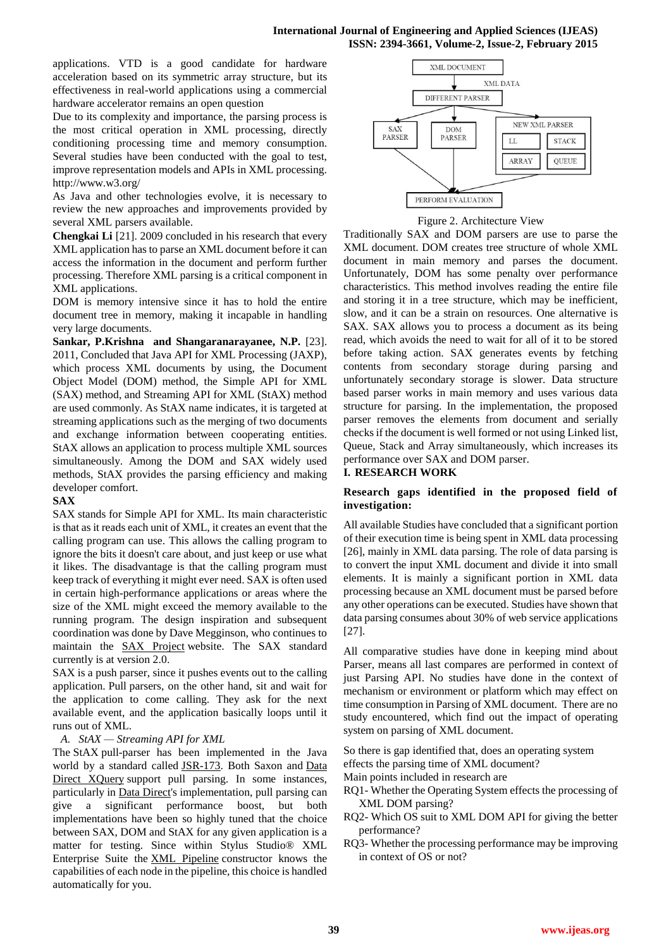applications. VTD is a good candidate for hardware acceleration based on its symmetric array structure, but its effectiveness in real-world applications using a commercial hardware accelerator remains an open question

Due to its complexity and importance, the parsing process is the most critical operation in XML processing, directly conditioning processing time and memory consumption. Several studies have been conducted with the goal to test, improve representation models and APIs in XML processing. http://www.w3.org/

As Java and other technologies evolve, it is necessary to review the new approaches and improvements provided by several XML parsers available.

**Chengkai Li** [21]. 2009 concluded in his research that every XML application has to parse an XML document before it can access the information in the document and perform further processing. Therefore XML parsing is a critical component in XML applications.

DOM is memory intensive since it has to hold the entire document tree in memory, making it incapable in handling very large documents.

**Sankar, P.Krishna and Shangaranarayanee, N.P.** [23]. 2011, Concluded that Java API for XML Processing (JAXP), which process XML documents by using, the Document Object Model (DOM) method, the Simple API for XML (SAX) method, and Streaming API for XML (StAX) method are used commonly. As StAX name indicates, it is targeted at streaming applications such as the merging of two documents and exchange information between cooperating entities. StAX allows an application to process multiple XML sources simultaneously. Among the DOM and SAX widely used methods, StAX provides the parsing efficiency and making developer comfort.

# **SAX**

SAX stands for Simple API for XML. Its main characteristic is that as it reads each unit of XML, it creates an event that the calling program can use. This allows the calling program to ignore the bits it doesn't care about, and just keep or use what it likes. The disadvantage is that the calling program must keep track of everything it might ever need. SAX is often used in certain high-performance applications or areas where the size of the XML might exceed the memory available to the running program. The design inspiration and subsequent coordination was done by Dave Megginson, who continues to maintain the [SAX Project](http://www.saxproject.org/) website. The SAX standard currently is at version 2.0.

SAX is a push parser, since it pushes events out to the calling application. Pull parsers, on the other hand, sit and wait for the application to come calling. They ask for the next available event, and the application basically loops until it runs out of XML.

# *A. StAX — Streaming API for XML*

The StAX pull-parser has been implemented in the Java world by a standard called **JSR-173**. Both Saxon and Data [Direct XQuery](http://www.stylusstudio.com/xquery/datadirect_xquery.html) support pull parsing. In some instances, particularly in [Data Direct's](http://www.stylusstudio.com/xquery/datadirect_xquery.html) implementation, pull parsing can give a significant performance boost, but both implementations have been so highly tuned that the choice between SAX, DOM and StAX for any given application is a matter for testing. Since within Stylus Studio® XML Enterprise Suite the [XML Pipeline](http://www.stylusstudio.com/xml/pipeline.html) constructor knows the capabilities of each node in the pipeline, this choice is handled automatically for you.



Figure 2. Architecture View

Traditionally SAX and DOM parsers are use to parse the XML document. DOM creates tree structure of whole XML document in main memory and parses the document. Unfortunately, DOM has some penalty over performance characteristics. This method involves reading the entire file and storing it in a tree structure, which may be inefficient, slow, and it can be a strain on resources. One alternative is SAX. SAX allows you to process a document as its being read, which avoids the need to wait for all of it to be stored before taking action. SAX generates events by fetching contents from secondary storage during parsing and unfortunately secondary storage is slower. Data structure based parser works in main memory and uses various data structure for parsing. In the implementation, the proposed parser removes the elements from document and serially checks if the document is well formed or not using Linked list, Queue, Stack and Array simultaneously, which increases its performance over SAX and DOM parser.

# **I. RESEARCH WORK**

# **Research gaps identified in the proposed field of investigation:**

All available Studies have concluded that a significant portion of their execution time is being spent in XML data processing [26], mainly in XML data parsing. The role of data parsing is to convert the input XML document and divide it into small elements. It is mainly a significant portion in XML data processing because an XML document must be parsed before any other operations can be executed. Studies have shown that data parsing consumes about 30% of web service applications [27].

All comparative studies have done in keeping mind about Parser, means all last compares are performed in context of just Parsing API. No studies have done in the context of mechanism or environment or platform which may effect on time consumption in Parsing of XML document. There are no study encountered, which find out the impact of operating system on parsing of XML document.

So there is gap identified that, does an operating system effects the parsing time of XML document?

- Main points included in research are
- RQ1- Whether the Operating System effects the processing of XML DOM parsing?
- RQ2- Which OS suit to XML DOM API for giving the better performance?
- RQ3- Whether the processing performance may be improving in context of OS or not?